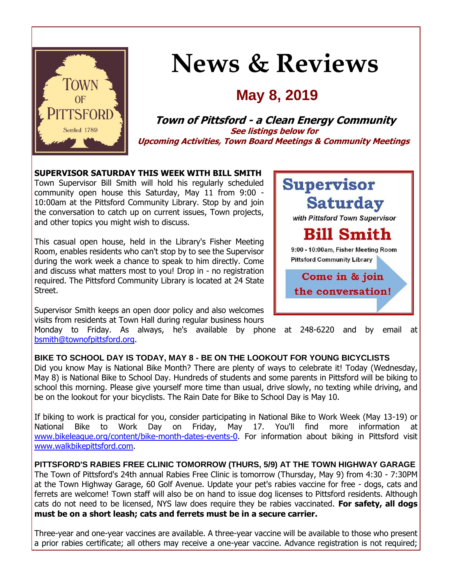

# **News & Reviews**

### **May 8, 2019**

**Town of Pittsford - a Clean Energy Community See listings below for Upcoming Activities, Town Board Meetings & Community Meetings**

**SUPERVISOR SATURDAY THIS WEEK WITH BILL SMITH** Town Supervisor Bill Smith will hold his regularly scheduled community open house this Saturday, May 11 from 9:00 - 10:00am at the Pittsford Community Library. Stop by and join the conversation to catch up on current issues, Town projects, and other topics you might wish to discuss.

This casual open house, held in the Library's Fisher Meeting Room, enables residents who can't stop by to see the Supervisor during the work week a chance to speak to him directly. Come and discuss what matters most to you! Drop in - no registration required. The Pittsford Community Library is located at 24 State Street.

Supervisor Smith keeps an open door policy and also welcomes visits from residents at Town Hall during regular business hours

Monday to Friday. As always, he's available by phone at 248-6220 and by email at [bsmith@townofpittsford.org.](mailto:bsmith@townofpittsford.org)

#### **BIKE TO SCHOOL DAY IS TODAY, MAY 8 - BE ON THE LOOKOUT FOR YOUNG BICYCLISTS**

Did you know May is National Bike Month? There are plenty of ways to celebrate it! Today (Wednesday, May 8) is National Bike to School Day. Hundreds of students and some parents in Pittsford will be biking to school this morning. Please give yourself more time than usual, drive slowly, no texting while driving, and be on the lookout for your bicyclists. The Rain Date for Bike to School Day is May 10.

If biking to work is practical for you, consider participating in National Bike to Work Week (May 13-19) or National Bike to Work Day on Friday, May 17. You'll find more information at [www.bikeleague.org/content/bike-month-dates-events-0.](http://r20.rs6.net/tn.jsp?f=001M8CJH8sBnMWgz4aopVEaV4YOjJsfj-zXDXQscDa3eZDHI2XsaZJ5Ci91lS4wClXb101FJJIZx25Y-YJAwV-owvGPICe_AnvHc1d5hntYS2md3-Eu4DKBvi43X4cWeXf5tLWH1BfKj7RgpHj0dhTAib5QmpNVcPvLuGiNgqx29WnRQ0kfs3t45ftfqWFvQnHvSrbWx8PVjJsNvRJzzhyfh9NiccLU4z8Ws1Fei1gTgqTbgEgjOnGSb1m5w3nNdX60LN_3O6PrgeuoomWV3eNW4WsntfPfLEPVHRFd3IPiOwRKGpDurNTBqHVETKWMRXSdb-oYyUboILyb21VgC5rncQ==&c=7LLbr8LOb_cBoZg3hp41pEzYmtWBuhuhkEdAsRC7YrPBmf1koEN9IA==&ch=UW3ysYm4R7SnQVuhGww5iKkpfJ6D62tYpi6hzqrb8VRk6IE4wKTUiA==) For information about biking in Pittsford visit [www.walkbikepittsford.com.](http://r20.rs6.net/tn.jsp?f=001M8CJH8sBnMWgz4aopVEaV4YOjJsfj-zXDXQscDa3eZDHI2XsaZJ5CsK7ZIO9RV20lBBjIREZe0uT3SlzT0cg6LKzAxr_wY6gJMGlri_2uVh0n1i166eVYSNlpQnOOaRk9xS_HAJA3sGmMnOrV63lrIL-EnMPV56BdNmTz6wd2T3uRmUZQ9-HTDQarER_Eb2Z6rEqi9FBQwiiLUL9Vj9o4wMPW2RipuoEZTFsGsD15q5F0asRYEphWfC1o9qx_y8-3QP7YAP8ohsI1F8e-g4l76siBhmrkX1epAGh2e_0ARw=&c=7LLbr8LOb_cBoZg3hp41pEzYmtWBuhuhkEdAsRC7YrPBmf1koEN9IA==&ch=UW3ysYm4R7SnQVuhGww5iKkpfJ6D62tYpi6hzqrb8VRk6IE4wKTUiA==)

**PITTSFORD'S RABIES FREE CLINIC TOMORROW (THURS, 5/9) AT THE TOWN HIGHWAY GARAGE** The Town of Pittsford's 24th annual Rabies Free Clinic is tomorrow (Thursday, May 9) from 4:30 - 7:30PM at the Town Highway Garage, 60 Golf Avenue. Update your pet's rabies vaccine for free - dogs, cats and ferrets are welcome! Town staff will also be on hand to issue dog licenses to Pittsford residents. Although cats do not need to be licensed, NYS law does require they be rabies vaccinated. **For safety, all dogs must be on a short leash; cats and ferrets must be in a secure carrier.**

Three-year and one-year vaccines are available. A three-year vaccine will be available to those who present a prior rabies certificate; all others may receive a one-year vaccine. Advance registration is not required;

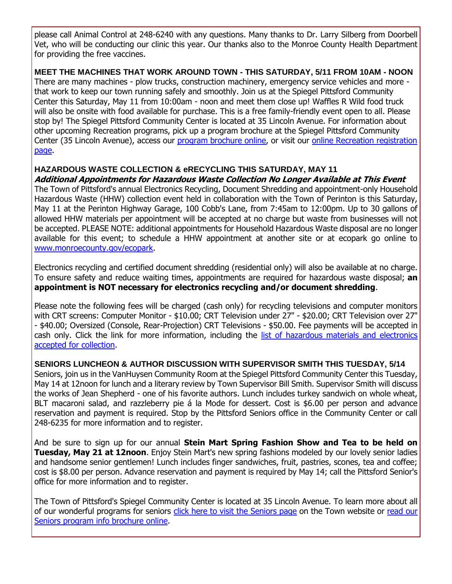please call Animal Control at 248-6240 with any questions. Many thanks to Dr. Larry Silberg from Doorbell Vet, who will be conducting our clinic this year. Our thanks also to the Monroe County Health Department for providing the free vaccines.

**MEET THE MACHINES THAT WORK AROUND TOWN - THIS SATURDAY, 5/11 FROM 10AM - NOON** There are many machines - plow trucks, construction machinery, emergency service vehicles and more that work to keep our town running safely and smoothly. Join us at the Spiegel Pittsford Community Center this Saturday, May 11 from 10:00am - noon and meet them close up! Waffles R Wild food truck will also be onsite with food available for purchase. This is a free family-friendly event open to all. Please stop by! The Spiegel Pittsford Community Center is located at 35 Lincoln Avenue. For information about other upcoming Recreation programs, pick up a program brochure at the Spiegel Pittsford Community Center (35 Lincoln Avenue), access our [program brochure online,](http://r20.rs6.net/tn.jsp?f=001M8CJH8sBnMWgz4aopVEaV4YOjJsfj-zXDXQscDa3eZDHI2XsaZJ5CvW26ja0weNyl6-4LcZPE00mWaORoGGj5OLkVhNyacx7XV4X4MojimpbxORO4TeXaMEU8IO_CcyaM-qBCCHqeLutnYDRn755Ci66zzKFpDsmWCGY79qwkFFTMLqUSfOnZDiAbj9J0QAcHhGxJRUcefgOyH0dHo6WJ3DpWp1eFwIgQF-af8GYz8hN81RA7yWPlwwFHb2bmvVKiurniB5VO_YF-lG4y7CrwxL8DlxO2nkEbEI2RWrYw4MPVWRaCal6dCgNRqtMDnkDFiA7zLUXEj3LP5HVEmV02w==&c=7LLbr8LOb_cBoZg3hp41pEzYmtWBuhuhkEdAsRC7YrPBmf1koEN9IA==&ch=UW3ysYm4R7SnQVuhGww5iKkpfJ6D62tYpi6hzqrb8VRk6IE4wKTUiA==) or visit our [online Recreation registration](http://r20.rs6.net/tn.jsp?f=001M8CJH8sBnMWgz4aopVEaV4YOjJsfj-zXDXQscDa3eZDHI2XsaZJ5CosEkshZRpm6G7C6DOoU1hRgKwxHRaePCHnVruap6h8V1mOdMoSz-KEddI8ABJIVn--7dEHELuThbYCuqFynalXk6NOrn1UDr9U_tQ96lKaHgtel7yQRo27VMUdXnbisW0mQJ24B0d8yNnuVn3jbZturwD--k_4QrCuLW6nU-tLf56YLAehmmbiKfmcJtWY6GKy4u3fj91icPlWd5mkETufMDNF9_ThMdNXricejCJSgVDvMv0vVSgmAU6XDV53_aGj-IkD0e4LXyCzXspLiEKc7HQO3q58ooETPAFPBkQLA&c=7LLbr8LOb_cBoZg3hp41pEzYmtWBuhuhkEdAsRC7YrPBmf1koEN9IA==&ch=UW3ysYm4R7SnQVuhGww5iKkpfJ6D62tYpi6hzqrb8VRk6IE4wKTUiA==)  [page.](http://r20.rs6.net/tn.jsp?f=001M8CJH8sBnMWgz4aopVEaV4YOjJsfj-zXDXQscDa3eZDHI2XsaZJ5CosEkshZRpm6G7C6DOoU1hRgKwxHRaePCHnVruap6h8V1mOdMoSz-KEddI8ABJIVn--7dEHELuThbYCuqFynalXk6NOrn1UDr9U_tQ96lKaHgtel7yQRo27VMUdXnbisW0mQJ24B0d8yNnuVn3jbZturwD--k_4QrCuLW6nU-tLf56YLAehmmbiKfmcJtWY6GKy4u3fj91icPlWd5mkETufMDNF9_ThMdNXricejCJSgVDvMv0vVSgmAU6XDV53_aGj-IkD0e4LXyCzXspLiEKc7HQO3q58ooETPAFPBkQLA&c=7LLbr8LOb_cBoZg3hp41pEzYmtWBuhuhkEdAsRC7YrPBmf1koEN9IA==&ch=UW3ysYm4R7SnQVuhGww5iKkpfJ6D62tYpi6hzqrb8VRk6IE4wKTUiA==)

#### **HAZARDOUS WASTE COLLECTION & eRECYCLING THIS SATURDAY, MAY 11 Additional Appointments for Hazardous Waste Collection No Longer Available at This Event**

The Town of Pittsford's annual Electronics Recycling, Document Shredding and appointment-only Household Hazardous Waste (HHW) collection event held in collaboration with the Town of Perinton is this Saturday, May 11 at the Perinton Highway Garage, 100 Cobb's Lane, from 7:45am to 12:00pm. Up to 30 gallons of allowed HHW materials per appointment will be accepted at no charge but waste from businesses will not be accepted. PLEASE NOTE: additional appointments for Household Hazardous Waste disposal are no longer available for this event; to schedule a HHW appointment at another site or at ecopark go online to [www.monroecounty.gov/ecopark.](http://r20.rs6.net/tn.jsp?f=001M8CJH8sBnMWgz4aopVEaV4YOjJsfj-zXDXQscDa3eZDHI2XsaZJ5CjnGKYMBoRdUfmy5Wx0Sk8rykAGxdFTCPCX-tfflaLLsAyHDguoN3Vim-1Foe5zzoifU0_7VLWDe8MlJlRXf_ABXK2ZeSDZj2dqKC8IvvEjDKWNvrFoEIhpp2wl3P7Cnk2aeWjMVkuwUpE-ggHhFBPKGQLR8nlbvVv6QAXN4feJUPRviLgUh89eR3a6LC9-IBbLTaWHQZK7BZvI-3w--FEwd3GyvIWGS77FDlj8AqDK-7GgU51vEwCfOC1wGFfGNbA==&c=7LLbr8LOb_cBoZg3hp41pEzYmtWBuhuhkEdAsRC7YrPBmf1koEN9IA==&ch=UW3ysYm4R7SnQVuhGww5iKkpfJ6D62tYpi6hzqrb8VRk6IE4wKTUiA==)

Electronics recycling and certified document shredding (residential only) will also be available at no charge. To ensure safety and reduce waiting times, appointments are required for hazardous waste disposal; **an appointment is NOT necessary for electronics recycling and/or document shredding**.

Please note the following fees will be charged (cash only) for recycling televisions and computer monitors with CRT screens: Computer Monitor - \$10.00; CRT Television under 27" - \$20.00; CRT Television over 27" - \$40.00; Oversized (Console, Rear-Projection) CRT Televisions - \$50.00. Fee payments will be accepted in cash only. Click the link for more information, including the [list of hazardous materials and electronics](http://r20.rs6.net/tn.jsp?f=001M8CJH8sBnMWgz4aopVEaV4YOjJsfj-zXDXQscDa3eZDHI2XsaZJ5Cn10itVqJcYH5ucb03tEKy0gs5nOwZwoPWxQhgnczkG-i9P-GZUFDeWrXo4600Bn0_3o1xpfcaqFF57XohpkScqSRzHkrviVkz-ttoHZEBploa-WEJi8jNPNhnFSiJe9yg5uEmAYkVT1e9NHO4p9q3flsylvnqzDHQJDubPboyDuTB58CDOoFBqF61XCnU46s6RWZPIF8Mr1ko-4taiqJAl9xGTvCL8r43pFe9_Q6gcRrUEWAoqasbYxHlCMu8Y4TBxpiY0W8UlAoLGwPAf7Na1jzX5i_V3fSSygWnlIdKxGl7ti1LOgLGvZS8HrSEfYQg==&c=7LLbr8LOb_cBoZg3hp41pEzYmtWBuhuhkEdAsRC7YrPBmf1koEN9IA==&ch=UW3ysYm4R7SnQVuhGww5iKkpfJ6D62tYpi6hzqrb8VRk6IE4wKTUiA==)  [accepted for collection.](http://r20.rs6.net/tn.jsp?f=001M8CJH8sBnMWgz4aopVEaV4YOjJsfj-zXDXQscDa3eZDHI2XsaZJ5Cn10itVqJcYH5ucb03tEKy0gs5nOwZwoPWxQhgnczkG-i9P-GZUFDeWrXo4600Bn0_3o1xpfcaqFF57XohpkScqSRzHkrviVkz-ttoHZEBploa-WEJi8jNPNhnFSiJe9yg5uEmAYkVT1e9NHO4p9q3flsylvnqzDHQJDubPboyDuTB58CDOoFBqF61XCnU46s6RWZPIF8Mr1ko-4taiqJAl9xGTvCL8r43pFe9_Q6gcRrUEWAoqasbYxHlCMu8Y4TBxpiY0W8UlAoLGwPAf7Na1jzX5i_V3fSSygWnlIdKxGl7ti1LOgLGvZS8HrSEfYQg==&c=7LLbr8LOb_cBoZg3hp41pEzYmtWBuhuhkEdAsRC7YrPBmf1koEN9IA==&ch=UW3ysYm4R7SnQVuhGww5iKkpfJ6D62tYpi6hzqrb8VRk6IE4wKTUiA==)

**SENIORS LUNCHEON & AUTHOR DISCUSSION WITH SUPERVISOR SMITH THIS TUESDAY, 5/14** Seniors, join us in the VanHuysen Community Room at the Spiegel Pittsford Community Center this Tuesday, May 14 at 12noon for lunch and a literary review by Town Supervisor Bill Smith. Supervisor Smith will discuss the works of Jean Shepherd - one of his favorite authors. Lunch includes turkey sandwich on whole wheat, BLT macaroni salad, and razzleberry pie á la Mode for dessert. Cost is \$6.00 per person and advance reservation and payment is required. Stop by the Pittsford Seniors office in the Community Center or call 248-6235 for more information and to register.

And be sure to sign up for our annual **Stein Mart Spring Fashion Show and Tea to be held on Tuesday, May 21 at 12noon**. Enjoy Stein Mart's new spring fashions modeled by our lovely senior ladies and handsome senior gentlemen! Lunch includes finger sandwiches, fruit, pastries, scones, tea and coffee; cost is \$8.00 per person. Advance reservation and payment is required by May 14; call the Pittsford Senior's office for more information and to register.

The Town of Pittsford's Spiegel Community Center is located at 35 Lincoln Avenue. To learn more about all of our wonderful programs for seniors [click here to visit the Seniors page](http://r20.rs6.net/tn.jsp?f=001M8CJH8sBnMWgz4aopVEaV4YOjJsfj-zXDXQscDa3eZDHI2XsaZJ5CjZpUz_ULczBVy-w4dWjOqGQrdY-WqqbJtoZEsmGqG1nbnkDSveFtYJIqO3WJxwkTmpbWRre6gogWsTy66GmWcqO8uHuRUAHASGVSYa3OQdckWFcm7I9y6L8hNlfobjntmr0HS6dGo-Rvhc416MFjN7NBNWKy1ZPUEf915icm_c-D9YLjp1wxJlQdT0tlBOgkmh0aE7ivVARjLWWKqyRWI25rMC7appst2LvBhBNALKsZ4tyWCx_B74G9raJF3o_tq1EP0zFNtao&c=7LLbr8LOb_cBoZg3hp41pEzYmtWBuhuhkEdAsRC7YrPBmf1koEN9IA==&ch=UW3ysYm4R7SnQVuhGww5iKkpfJ6D62tYpi6hzqrb8VRk6IE4wKTUiA==) on the Town website or read our [Seniors program info brochure online.](http://r20.rs6.net/tn.jsp?f=001M8CJH8sBnMWgz4aopVEaV4YOjJsfj-zXDXQscDa3eZDHI2XsaZJ5Cs2yvTEXKhvs6Ptr_-BZKEsoeXzoMv4UuYPgTfGaBD5eS8NPRNg8Di3SuWOnFbYYfccqjH45XBeuNLbRu-72kPzVGWpRnDJDfq5-aB8LWikwbThdMlOJOWf7g4YRW3LKARUxfeGDD3AY4doHGjlBWtFU0tcZs5kzwmtwWCTrsn0qTSmkWehxpLlr9KXPI4vP6IQVzQ8oYrWuFs9TXQUG4kBIezhHOQdpbB2mXRVC0P1HfVi3xcccuWHBaaAmT37rFg-TDwHW7i4NRQgkzmTSpYzeztyvDOChlzzD1VrLj91FdZ2MYlWScyLayTGFEB2krA==&c=7LLbr8LOb_cBoZg3hp41pEzYmtWBuhuhkEdAsRC7YrPBmf1koEN9IA==&ch=UW3ysYm4R7SnQVuhGww5iKkpfJ6D62tYpi6hzqrb8VRk6IE4wKTUiA==)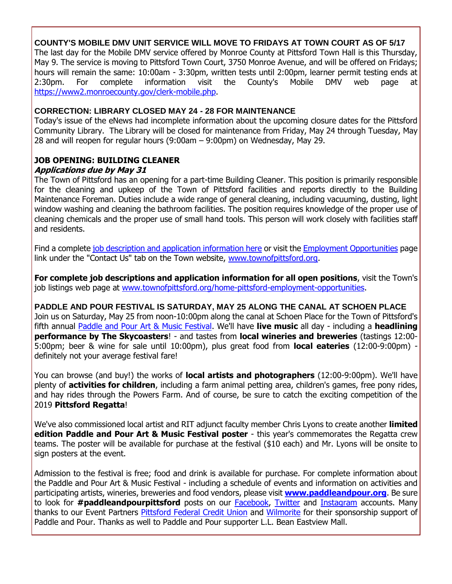#### **COUNTY'S MOBILE DMV UNIT SERVICE WILL MOVE TO FRIDAYS AT TOWN COURT AS OF 5/17**

The last day for the Mobile DMV service offered by Monroe County at Pittsford Town Hall is this Thursday, May 9. The service is moving to Pittsford Town Court, 3750 Monroe Avenue, and will be offered on Fridays; hours will remain the same: 10:00am - 3:30pm, written tests until 2:00pm, learner permit testing ends at 2:30pm. For complete information visit the County's Mobile DMV web page at [https://www2.monroecounty.gov/clerk-mobile.php.](http://r20.rs6.net/tn.jsp?f=001M8CJH8sBnMWgz4aopVEaV4YOjJsfj-zXDXQscDa3eZDHI2XsaZJ5CjtivUqdf4eIQ9mk6tMHPVn3Gv1Y0Z84_cF3R7yPenGK3Kc84-ChnHSRwA-pjXNckkdwPBc4nnp6yXU7yWToH7jzBhw0x9dyLPzcd9v7ULaKRhKrxY49bsOImXmoIZkBqiV8Oeb6m3SPTDteeV5fWKcONU-w1W_Q4h2L6BaslDGuzv4DuHBMh3XYi22se4YzCKnEBWoLbWaa8BTDMIS33psKWQugbW6urI3eSGkUq4ccmHh9ZIyPr7WTJvQsJratEjpxYF858jEx&c=7LLbr8LOb_cBoZg3hp41pEzYmtWBuhuhkEdAsRC7YrPBmf1koEN9IA==&ch=UW3ysYm4R7SnQVuhGww5iKkpfJ6D62tYpi6hzqrb8VRk6IE4wKTUiA==)

#### **CORRECTION: LIBRARY CLOSED MAY 24 - 28 FOR MAINTENANCE**

Today's issue of the eNews had incomplete information about the upcoming closure dates for the Pittsford Community Library. The Library will be closed for maintenance from Friday, May 24 through Tuesday, May 28 and will reopen for regular hours (9:00am – 9:00pm) on Wednesday, May 29.

#### **JOB OPENING: BUILDING CLEANER**

#### **Applications due by May 31**

The Town of Pittsford has an opening for a part-time Building Cleaner. This position is primarily responsible for the cleaning and upkeep of the Town of Pittsford facilities and reports directly to the Building Maintenance Foreman. Duties include a wide range of general cleaning, including vacuuming, dusting, light window washing and cleaning the bathroom facilities. The position requires knowledge of the proper use of cleaning chemicals and the proper use of small hand tools. This person will work closely with facilities staff and residents.

Find a complete [job description and application information here](http://r20.rs6.net/tn.jsp?f=001M8CJH8sBnMWgz4aopVEaV4YOjJsfj-zXDXQscDa3eZDHI2XsaZJ5CjtivUqdf4eIT15EwJOPQub0P2cvhz1v5Zpr78Pcy5PyvjZSE29rf_NchG2SLBB_WFYhHSqi6_QKMMqgCS_wQ_mzVFRB2Z80w35QqhVugbKTZdXo-svqglN8-KaFX9PsbULEM9R-MGzwc8mKbmRAiCWBzIcHZ7mHdgPAWPWpScFgbV52VsKcAUF3pXq_DHij5SbuJJAP0vvKdx2_Z8FcM2y3HJ45M7rA5iLdnO12pXT2FA2JiamQLXWWm5fKGZCq60e93UqXytTR48d3PFXoHJwtcwQdYmikuPuPloOzmuv8lNLpcHN_2gnmJSeu9K2VP9_8X3jeA-wNrSO_CEFlNebw7eqwKhnqFA==&c=7LLbr8LOb_cBoZg3hp41pEzYmtWBuhuhkEdAsRC7YrPBmf1koEN9IA==&ch=UW3ysYm4R7SnQVuhGww5iKkpfJ6D62tYpi6hzqrb8VRk6IE4wKTUiA==) or visit the [Employment Opportunities](http://r20.rs6.net/tn.jsp?f=001M8CJH8sBnMWgz4aopVEaV4YOjJsfj-zXDXQscDa3eZDHI2XsaZJ5CncVohZgQSkHxMnllxrVQe4AbSiy7SR_RsxGDh9pB25me3UcCvtRyl_EXtihvNNzzj04JZcyMopSY31snSfiTbhWTVaZ5la-W6Q1ULEW8fRYAwrDBr7WtoPNRMqO7QOefcTpdoZsBY_XR195SknnQQQRFI14IGgNlRVUYCbLHMFcQh0tjEEPcsV5YJpxNtMrOkIOW6gAst3oI2HzGhCpg6IbAoTjpwgbcFDrFhve8Oq3UFu-Sf8eVCIg06bg28XrIAwVIu8wTHEUY9eKXLWlMmuGS3dv5SEWMW9aiSdo5kH9&c=7LLbr8LOb_cBoZg3hp41pEzYmtWBuhuhkEdAsRC7YrPBmf1koEN9IA==&ch=UW3ysYm4R7SnQVuhGww5iKkpfJ6D62tYpi6hzqrb8VRk6IE4wKTUiA==) page link under the "Contact Us" tab on the Town website, [www.townofpittsford.org.](http://www.townofpittsford.org/)

**For complete job descriptions and application information for all open positions**, visit the Town's job listings web page at [www.townofpittsford.org/home-pittsford-employment-opportunities.](http://r20.rs6.net/tn.jsp?f=001M8CJH8sBnMWgz4aopVEaV4YOjJsfj-zXDXQscDa3eZDHI2XsaZJ5CncVohZgQSkHxMnllxrVQe4AbSiy7SR_RsxGDh9pB25me3UcCvtRyl_EXtihvNNzzj04JZcyMopSY31snSfiTbhWTVaZ5la-W6Q1ULEW8fRYAwrDBr7WtoPNRMqO7QOefcTpdoZsBY_XR195SknnQQQRFI14IGgNlRVUYCbLHMFcQh0tjEEPcsV5YJpxNtMrOkIOW6gAst3oI2HzGhCpg6IbAoTjpwgbcFDrFhve8Oq3UFu-Sf8eVCIg06bg28XrIAwVIu8wTHEUY9eKXLWlMmuGS3dv5SEWMW9aiSdo5kH9&c=7LLbr8LOb_cBoZg3hp41pEzYmtWBuhuhkEdAsRC7YrPBmf1koEN9IA==&ch=UW3ysYm4R7SnQVuhGww5iKkpfJ6D62tYpi6hzqrb8VRk6IE4wKTUiA==)

**PADDLE AND POUR FESTIVAL IS SATURDAY, MAY 25 ALONG THE CANAL AT SCHOEN PLACE** Join us on Saturday, May 25 from noon-10:00pm along the canal at Schoen Place for the Town of Pittsford's fifth annual [Paddle and Pour Art & Music Festival.](http://r20.rs6.net/tn.jsp?f=001M8CJH8sBnMWgz4aopVEaV4YOjJsfj-zXDXQscDa3eZDHI2XsaZJ5CjJi5PvRsn8mERrR2NRwCMiIOKWhZWNc1OCDsltWZH2kjqo4mI8cSiU-fS6LIQbkoFjb4gAbrB2WgHPwJctPij50Zg5ikFGFlWAWOpIYmGIMFxVcNkpB02ECVZKY9nZuFotSZkPtzhrT64RNTcQkwTvFETkjmCnbwqUvaUZmKcgz0wKoH_dLyiY2i9ETm9MzbfOzEiQ9hBV_VmWayc-fye_SfkZ1CK-2AaasEsg82lfkEwpAhNQw_YE=&c=7LLbr8LOb_cBoZg3hp41pEzYmtWBuhuhkEdAsRC7YrPBmf1koEN9IA==&ch=UW3ysYm4R7SnQVuhGww5iKkpfJ6D62tYpi6hzqrb8VRk6IE4wKTUiA==) We'll have **live music** all day - including a **headlining performance by The Skycoasters**! - and tastes from **local wineries and breweries** (tastings 12:00- 5:00pm; beer & wine for sale until 10:00pm), plus great food from **local eateries** (12:00-9:00pm) definitely not your average festival fare!

You can browse (and buy!) the works of **local artists and photographers** (12:00-9:00pm). We'll have plenty of **activities for children**, including a farm animal petting area, children's games, free pony rides, and hay rides through the Powers Farm. And of course, be sure to catch the exciting competition of the 2019 **Pittsford Regatta**!

We've also commissioned local artist and RIT adjunct faculty member Chris Lyons to create another **limited edition Paddle and Pour Art & Music Festival poster** - this year's commemorates the Regatta crew teams. The poster will be available for purchase at the festival (\$10 each) and Mr. Lyons will be onsite to sign posters at the event.

Admission to the festival is free; food and drink is available for purchase. For complete information about the Paddle and Pour Art & Music Festival - including a schedule of events and information on activities and participating artists, wineries, breweries and food vendors, please visit **[www.paddleandpour.org](http://r20.rs6.net/tn.jsp?f=001M8CJH8sBnMWgz4aopVEaV4YOjJsfj-zXDXQscDa3eZDHI2XsaZJ5CjJi5PvRsn8mERrR2NRwCMiIOKWhZWNc1OCDsltWZH2kjqo4mI8cSiU-fS6LIQbkoFjb4gAbrB2WgHPwJctPij50Zg5ikFGFlWAWOpIYmGIMFxVcNkpB02ECVZKY9nZuFotSZkPtzhrT64RNTcQkwTvFETkjmCnbwqUvaUZmKcgz0wKoH_dLyiY2i9ETm9MzbfOzEiQ9hBV_VmWayc-fye_SfkZ1CK-2AaasEsg82lfkEwpAhNQw_YE=&c=7LLbr8LOb_cBoZg3hp41pEzYmtWBuhuhkEdAsRC7YrPBmf1koEN9IA==&ch=UW3ysYm4R7SnQVuhGww5iKkpfJ6D62tYpi6hzqrb8VRk6IE4wKTUiA==)**. Be sure to look for **#paddleandpourpittsford** posts on our [Facebook,](http://r20.rs6.net/tn.jsp?f=001M8CJH8sBnMWgz4aopVEaV4YOjJsfj-zXDXQscDa3eZDHI2XsaZJ5CpsPiTcLiyTp9n99mowneOhnENBuh644RX6HLlqlKGHgeB0PtYZ5QyZYN8l_jsjkbWUnyamKH-ABNhReNfTvH2hQprgGpr-hmv7vanrmb1UE8bBHZLuIforORWyR4lzvTqcSyjhaiWBH1RcwxVDmFd1Naxg0u7Di9WtZYswykEO8OA3eY-VAAG4=&c=7LLbr8LOb_cBoZg3hp41pEzYmtWBuhuhkEdAsRC7YrPBmf1koEN9IA==&ch=UW3ysYm4R7SnQVuhGww5iKkpfJ6D62tYpi6hzqrb8VRk6IE4wKTUiA==) [Twitter](http://r20.rs6.net/tn.jsp?f=001M8CJH8sBnMWgz4aopVEaV4YOjJsfj-zXDXQscDa3eZDHI2XsaZJ5CoQ3I0JxTUItpyDtAnX-ctJbYy3mDDShxdD8QhFJ5WXtBtHIkuI34-e-h-ds3kMvOFqHgRxAaiU_Meh3qYuOLP_NqaXqytEgE6tqhfXTEg7TzMFQHY8Eng7QRgY8Dmv1cw==&c=7LLbr8LOb_cBoZg3hp41pEzYmtWBuhuhkEdAsRC7YrPBmf1koEN9IA==&ch=UW3ysYm4R7SnQVuhGww5iKkpfJ6D62tYpi6hzqrb8VRk6IE4wKTUiA==) and [Instagram](http://r20.rs6.net/tn.jsp?f=001M8CJH8sBnMWgz4aopVEaV4YOjJsfj-zXDXQscDa3eZDHI2XsaZJ5CoQ3I0JxTUItcFnWKmMb5tlpOwTBH4B8midviZBGlGnkdMARgD7JFDi2f_siOUn8XLcr9u2j8L1tvBd-PR92LpICxl3RfCbUeYKEHcxKOhBtXPqaF5mSSE_RURc9SUR5wy_Kz3CSiT3SUB7jsjHVCMvzZKhwr4sXeXrwOdG620NNRh2L0YLWT7wlofWse6y3JnfM-weJPJhqE1vX4ulJMbj01g8Xqzn-YazRDqKC_XWZbOoFbwU_p36bGTfmW-NohQ==&c=7LLbr8LOb_cBoZg3hp41pEzYmtWBuhuhkEdAsRC7YrPBmf1koEN9IA==&ch=UW3ysYm4R7SnQVuhGww5iKkpfJ6D62tYpi6hzqrb8VRk6IE4wKTUiA==) accounts. Many thanks to our Event Partners [Pittsford Federal Credit Union](http://r20.rs6.net/tn.jsp?f=001M8CJH8sBnMWgz4aopVEaV4YOjJsfj-zXDXQscDa3eZDHI2XsaZJ5CnMDmxljA6TTsbeTU5OvuhLl3x-efLOcmrJxHpQ7vKIKV6Kvk3Z1iW7aJxU3od84SWylqbpgPaQtnVRcbAGUOzbZreQLr6vSR8BucFU7D0xsaFMvaO7qLUqB3F_ZgNlN7es-d0P7A4kJreXzhoEsrB-JlcGG5R0r5VBZLoVXhhPzxNLx7aEtx2XaAuj-eLBs1izOyIbVMnvBODp-lBWH4UvlCEOq7W9nbQNRwVoK2rrWDnp3TXF951Y=&c=7LLbr8LOb_cBoZg3hp41pEzYmtWBuhuhkEdAsRC7YrPBmf1koEN9IA==&ch=UW3ysYm4R7SnQVuhGww5iKkpfJ6D62tYpi6hzqrb8VRk6IE4wKTUiA==) and [Wilmorite](http://r20.rs6.net/tn.jsp?f=001M8CJH8sBnMWgz4aopVEaV4YOjJsfj-zXDXQscDa3eZDHI2XsaZJ5CnMDmxljA6TTh4zRCxZPObgye2oolOLqig5djIGGDBLwVQoRdip6ZWpqvqpURfddyrf7x6IsYjE4k6MhF-k6gMiTsOa-vCaejvwaqxjAuiuzMv_zz6yfxtdWUwlS2jjqQOTrVn3pKL11zIAZtUpIVy4dyRPZi4oBgIS--qzKP0fm8dTNcyUhYRLmQ7tzlosQdWlyBt5YhlvxuYn5c1Sw3RnHSerYYSC8vwGkN_ECTtLL&c=7LLbr8LOb_cBoZg3hp41pEzYmtWBuhuhkEdAsRC7YrPBmf1koEN9IA==&ch=UW3ysYm4R7SnQVuhGww5iKkpfJ6D62tYpi6hzqrb8VRk6IE4wKTUiA==) for their sponsorship support of Paddle and Pour. Thanks as well to Paddle and Pour supporter L.L. Bean Eastview Mall.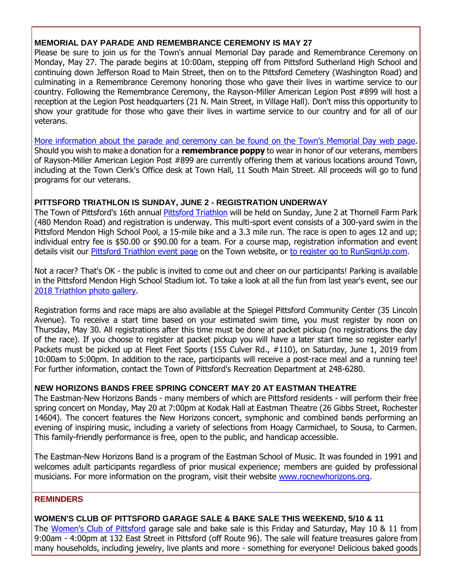#### **MEMORIAL DAY PARADE AND REMEMBRANCE CEREMONY IS MAY 27**

Please be sure to join us for the Town's annual Memorial Day parade and Remembrance Ceremony on Monday, May 27. The parade begins at 10:00am, stepping off from Pittsford Sutherland High School and continuing down Jefferson Road to Main Street, then on to the Pittsford Cemetery (Washington Road) and culminating in a Remembrance Ceremony honoring those who gave their lives in wartime service to our country. Following the Remembrance Ceremony, the Rayson-Miller American Legion Post #899 will host a reception at the Legion Post headquarters (21 N. Main Street, in Village Hall). Don't miss this opportunity to show your gratitude for those who gave their lives in wartime service to our country and for all of our veterans.

[More information about the parade and ceremony can be found on the Town's Memorial Day web page.](http://r20.rs6.net/tn.jsp?f=001M8CJH8sBnMWgz4aopVEaV4YOjJsfj-zXDXQscDa3eZDHI2XsaZJ5CoQ3I0JxTUItcpHnQmzd6Ay2USgSYA-c3PFMEonnnpfafs6G-YpOlFaA-yoMZAthFL5MSYsS13YoNQoPrlD143mipjGwnMZgAZBupUfE2dqZuugxzOGA02rEMBwEbSWD3fxmlMm3CUBHrNCrZIwXW0rm5YPYmHjuKSZ3QkNiK9lewWauiKkzRL-uLDuTiks3aEkI1g7MDsg_42cJ0MG1G9tJCt4SPzLAzOVLoU-sqhjppP-2sAE64EJcEg0s2Z3zZSC2jD2gLcXU&c=7LLbr8LOb_cBoZg3hp41pEzYmtWBuhuhkEdAsRC7YrPBmf1koEN9IA==&ch=UW3ysYm4R7SnQVuhGww5iKkpfJ6D62tYpi6hzqrb8VRk6IE4wKTUiA==) Should you wish to make a donation for a **remembrance poppy** to wear in honor of our veterans, members of Rayson-Miller American Legion Post #899 are currently offering them at various locations around Town, including at the Town Clerk's Office desk at Town Hall, 11 South Main Street. All proceeds will go to fund programs for our veterans.

#### **PITTSFORD TRIATHLON IS SUNDAY, JUNE 2 - REGISTRATION UNDERWAY**

The Town of Pittsford's 16th annual [Pittsford Triathlon](http://r20.rs6.net/tn.jsp?f=001M8CJH8sBnMWgz4aopVEaV4YOjJsfj-zXDXQscDa3eZDHI2XsaZJ5Cn_yKsvcySxSzMdPJSs-9BLCo4ekVEn250sgk6eR_yAbM9HO0WV1BJ1U4jUHrIYu8e4VqIBzVcrt-Sy1CJsNtez6T4_Wkv71pi2dg8m6uS00wONKhC8WELQbbIdhz2bKIDi-IOXnYkGp3yKYnpTUMCnvEHYIHQUF8aYKvPgxpNhTskQ9odnoDSgVU61TTT6bV3I1vbOkLKmFnNJztDGcER6oTlqbVTcrD9Y34FEOGn5_bTvDZIgf40Q7bAW5jQ_h0w==&c=7LLbr8LOb_cBoZg3hp41pEzYmtWBuhuhkEdAsRC7YrPBmf1koEN9IA==&ch=UW3ysYm4R7SnQVuhGww5iKkpfJ6D62tYpi6hzqrb8VRk6IE4wKTUiA==) will be held on Sunday, June 2 at Thornell Farm Park (480 Mendon Road) and registration is underway. This multi-sport event consists of a 300-yard swim in the Pittsford Mendon High School Pool, a 15-mile bike and a 3.3 mile run. The race is open to ages 12 and up; individual entry fee is \$50.00 or \$90.00 for a team. For a course map, registration information and event details visit our [Pittsford Triathlon event page](http://r20.rs6.net/tn.jsp?f=001M8CJH8sBnMWgz4aopVEaV4YOjJsfj-zXDXQscDa3eZDHI2XsaZJ5Cn_yKsvcySxSzMdPJSs-9BLCo4ekVEn250sgk6eR_yAbM9HO0WV1BJ1U4jUHrIYu8e4VqIBzVcrt-Sy1CJsNtez6T4_Wkv71pi2dg8m6uS00wONKhC8WELQbbIdhz2bKIDi-IOXnYkGp3yKYnpTUMCnvEHYIHQUF8aYKvPgxpNhTskQ9odnoDSgVU61TTT6bV3I1vbOkLKmFnNJztDGcER6oTlqbVTcrD9Y34FEOGn5_bTvDZIgf40Q7bAW5jQ_h0w==&c=7LLbr8LOb_cBoZg3hp41pEzYmtWBuhuhkEdAsRC7YrPBmf1koEN9IA==&ch=UW3ysYm4R7SnQVuhGww5iKkpfJ6D62tYpi6hzqrb8VRk6IE4wKTUiA==) on the Town website, or [to register go to RunSignUp.com.](http://r20.rs6.net/tn.jsp?f=001M8CJH8sBnMWgz4aopVEaV4YOjJsfj-zXDXQscDa3eZDHI2XsaZJ5Cn_yKsvcySxSjdeePVLTPK49DyJ_2tvIV6f-NEXBG9qF69bFFq0VshG5LKZRlrlQ-4Vx1rQUTMdtY_iJx6GCMooRov0EFHu0LPuwj7BfcwxE1zm7kh8XDvtD3plfjzD53PjjyuFUosV7fH75n8tDUTjGuk1rXKBEo7zEXM4ueP0-4ae4RJQksK4FzRmmMmJ5Latb9y8b6Dap_2RhxF8fNJsBxZ-gA9RsgAhJN8_RQrzxS7koEKN8dKTWiAdUrdIsQYI7cCbtjbGbYbS6wBY0AycHbKSLxeTdwg==&c=7LLbr8LOb_cBoZg3hp41pEzYmtWBuhuhkEdAsRC7YrPBmf1koEN9IA==&ch=UW3ysYm4R7SnQVuhGww5iKkpfJ6D62tYpi6hzqrb8VRk6IE4wKTUiA==)

Not a racer? That's OK - the public is invited to come out and cheer on our participants! Parking is available in the Pittsford Mendon High School Stadium lot. To take a look at all the fun from last year's event, see our [2018 Triathlon photo gallery.](http://r20.rs6.net/tn.jsp?f=001M8CJH8sBnMWgz4aopVEaV4YOjJsfj-zXDXQscDa3eZDHI2XsaZJ5CjtivUqdf4eImTauplGvO9NjytMH1vtlyzuWUj-YTBJKLlN_M4qA1am8YiobOEU_oT9gQd7SPisBFGN3TY2k_TrDgy_XjrYetDs5vIDX0Jxdh8b28Rnf-KM57V-YGscMTC7nr8iGEa5zuHj31Q_973MHRt05et4rXWTuJWJA0lKZWzlfMb87ZJ4_ZKAVtHGyTcB4-yxScDmLIgJtJRRYA_O49qPkzYCGsqFeNyFrIQJcc-Dsm9FIfAgOKuLEvC3VMS6zfLa1AeUq&c=7LLbr8LOb_cBoZg3hp41pEzYmtWBuhuhkEdAsRC7YrPBmf1koEN9IA==&ch=UW3ysYm4R7SnQVuhGww5iKkpfJ6D62tYpi6hzqrb8VRk6IE4wKTUiA==)

Registration forms and race maps are also available at the Spiegel Pittsford Community Center (35 Lincoln Avenue). To receive a start time based on your estimated swim time, you must register by noon on Thursday, May 30. All registrations after this time must be done at packet pickup (no registrations the day of the race). If you choose to register at packet pickup you will have a later start time so register early! Packets must be picked up at Fleet Feet Sports (155 Culver Rd., #110), on Saturday, June 1, 2019 from 10:00am to 5:00pm. In addition to the race, participants will receive a post-race meal and a running tee! For further information, contact the Town of Pittsford's Recreation Department at 248-6280.

#### **NEW HORIZONS BANDS FREE SPRING CONCERT MAY 20 AT EASTMAN THEATRE**

The Eastman-New Horizons Bands - many members of which are Pittsford residents - will perform their free spring concert on Monday, May 20 at 7:00pm at Kodak Hall at Eastman Theatre (26 Gibbs Street, Rochester 14604). The concert features the New Horizons concert, symphonic and combined bands performing an evening of inspiring music, including a variety of selections from Hoagy Carmichael, to Sousa, to Carmen. This family-friendly performance is free, open to the public, and handicap accessible.

The Eastman-New Horizons Band is a program of the Eastman School of Music. It was founded in 1991 and welcomes adult participants regardless of prior musical experience; members are guided by professional musicians. For more information on the program, visit their website [www.rocnewhorizons.org.](http://r20.rs6.net/tn.jsp?f=001M8CJH8sBnMWgz4aopVEaV4YOjJsfj-zXDXQscDa3eZDHI2XsaZJ5Co531Y6rTvjz9pr4uPqznh9rywpOaKOM6fKyhWPUTlCjl--ldcRSezspBhtNea9LsGkNkB_MyJTCAm_7AqVIdwTsA8AyF29MDHcGX3LUKnw_-5km9K8L8qgBplA5Ono4RXsGUT0a42xF0NpWL8MTQnMD3OR3BpusbAsAfo1YtjtoB12_kb4II4RQNOOiZCUfv_GCHFMtyK7suv9VmENYjQimVwvkKM3wDlfXfKxqMFh9jkeKKc1_wJA=&c=7LLbr8LOb_cBoZg3hp41pEzYmtWBuhuhkEdAsRC7YrPBmf1koEN9IA==&ch=UW3ysYm4R7SnQVuhGww5iKkpfJ6D62tYpi6hzqrb8VRk6IE4wKTUiA==)

#### **REMINDERS**

#### **WOMEN'S CLUB OF PITTSFORD GARAGE SALE & BAKE SALE THIS WEEKEND, 5/10 & 11**

The [Women's Club of Pittsford](http://www.womensclubofpittsford.org/?utm_source=eNews+05-08-19&utm_campaign=eNews+05-08-19&utm_medium=email) garage sale and bake sale is this Friday and Saturday, May 10 & 11 from 9:00am - 4:00pm at 132 East Street in Pittsford (off Route 96). The sale will feature treasures galore from many households, including jewelry, live plants and more - something for everyone! Delicious baked goods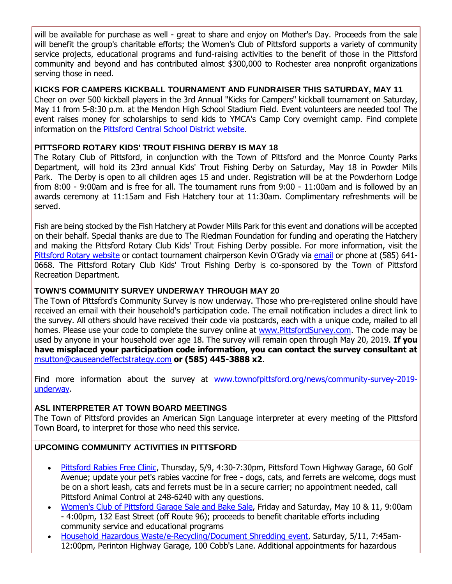will be available for purchase as well - great to share and enjoy on Mother's Day. Proceeds from the sale will benefit the group's charitable efforts; the Women's Club of Pittsford supports a variety of community service projects, educational programs and fund-raising activities to the benefit of those in the Pittsford community and beyond and has contributed almost \$300,000 to Rochester area nonprofit organizations serving those in need.

**KICKS FOR CAMPERS KICKBALL TOURNAMENT AND FUNDRAISER THIS SATURDAY, MAY 11**

Cheer on over 500 kickball players in the 3rd Annual "Kicks for Campers" kickball tournament on Saturday, May 11 from 5-8:30 p.m. at the Mendon High School Stadium Field. Event volunteers are needed too! The event raises money for scholarships to send kids to YMCA's Camp Cory overnight camp. Find complete information on the [Pittsford Central School District website.](http://r20.rs6.net/tn.jsp?f=001M8CJH8sBnMWgz4aopVEaV4YOjJsfj-zXDXQscDa3eZDHI2XsaZJ5ClU38bGQMbG8SM4LXbzXvBWCoYyEiwrjwkNBoilPr9D0lEQd-5FiuMiciQpDitn0hwOhzZwsG6Q9Vo5Da1gSJVwuHm3lT5yuP4GFm8w76hC139wDBR-lfcVvRdBbtvq1RPclfuupvl_JVfYJxGuD81zUVDdGJ4PDq33YKORVwks4fks8QE4pNci8L_76IJcbjMDIW-wECzfkXeQnIANB_vjoZjMBAy5BTGUxNPQwcN7gjmQWFlxgGZd-8bi2qrPUtwRHkpQrs2ANRD-oWTUS77ogDspueL9HG3CClbHCqKvEVguAvFgnsicDWGTZx6o7A1BwB0PHVuUDUPj_vzYduP6sboT3dVJCiWi-KgdGt-nxlFYZmmUGYTvNlVlUDPLzCCJooCROOMOuYizM1OS-iKTvx2NGsDgHeEV3BBYqmNs6wWu67dbcOziipraX511n5pPLyMMRKbrRTCXPEYq3DBhfDoX615GFKg==&c=7LLbr8LOb_cBoZg3hp41pEzYmtWBuhuhkEdAsRC7YrPBmf1koEN9IA==&ch=UW3ysYm4R7SnQVuhGww5iKkpfJ6D62tYpi6hzqrb8VRk6IE4wKTUiA==)

#### **PITTSFORD ROTARY KIDS' TROUT FISHING DERBY IS MAY 18**

The Rotary Club of Pittsford, in conjunction with the Town of Pittsford and the Monroe County Parks Department, will hold its 23rd annual Kids' Trout Fishing Derby on Saturday, May 18 in Powder Mills Park. The Derby is open to all children ages 15 and under. Registration will be at the Powderhorn Lodge from 8:00 - 9:00am and is free for all. The tournament runs from 9:00 - 11:00am and is followed by an awards ceremony at 11:15am and Fish Hatchery tour at 11:30am. Complimentary refreshments will be served.

Fish are being stocked by the Fish Hatchery at Powder Mills Park for this event and donations will be accepted on their behalf. Special thanks are due to The Riedman Foundation for funding and operating the Hatchery and making the Pittsford Rotary Club Kids' Trout Fishing Derby possible. For more information, visit the [Pittsford Rotary website](http://r20.rs6.net/tn.jsp?f=001M8CJH8sBnMWgz4aopVEaV4YOjJsfj-zXDXQscDa3eZDHI2XsaZJ5CosEkshZRpm6PiOJNWSaKitTRFAOkTV1bk9cXBKB1hELJqBrgnJnB6vuXvW0neEiCnv_S9-Ngf3H9J0-DaGLDlzu5k8qF4mVoA5Tp3y12ah1PG8Go-_mUD4LtWzPvyIuK-7CkndX3eQ4CKGWaEEH9b67ReTwfWMxBj9jHxQ62I36EaB2HHpWExP6Y22asenfpoFKuRMDCJN9_FIZ6WMxgIpmAPz1YfJN7fRB_hPG1Hpj3-f8Eszp_fllqAsxRF-MDQ==&c=7LLbr8LOb_cBoZg3hp41pEzYmtWBuhuhkEdAsRC7YrPBmf1koEN9IA==&ch=UW3ysYm4R7SnQVuhGww5iKkpfJ6D62tYpi6hzqrb8VRk6IE4wKTUiA==) or contact tournament chairperson Kevin O'Grady via [email](mailto:kevin@ogradyassociates.com?subject=Pittsford%20Rotary%20Kid) or phone at (585) 641-0668. The Pittsford Rotary Club Kids' Trout Fishing Derby is co-sponsored by the Town of Pittsford Recreation Department.

#### **TOWN'S COMMUNITY SURVEY UNDERWAY THROUGH MAY 20**

The Town of Pittsford's Community Survey is now underway. Those who pre-registered online should have received an email with their household's participation code. The email notification includes a direct link to the survey. All others should have received their code via postcards, each with a unique code, mailed to all homes. Please use your code to complete the survey online at [www.PittsfordSurvey.com.](http://r20.rs6.net/tn.jsp?f=001M8CJH8sBnMWgz4aopVEaV4YOjJsfj-zXDXQscDa3eZDHI2XsaZJ5CtMKIrPBWKGUydqsLz_-Eugli_G-BV1As-qYLSITEwYIk1jYQO1bLyPIRLDt6VGSu7Y-9kIzKbfyNrIO-g3TCP8lctfkKU4QMPQ8P954Sft1ns9IwaHP3zXWhQcwNhaMNw_ra2jsFdps4zYaFwMyd9_xHtByRpdtm6YcS5v_mtXTkS3-Ppj0h1kcTQEVAtvaOqStNXNXU-UBA_TK95jvyE0DPMboHWUiaT3qhNL1MIrj9vL45sROdLo=&c=7LLbr8LOb_cBoZg3hp41pEzYmtWBuhuhkEdAsRC7YrPBmf1koEN9IA==&ch=UW3ysYm4R7SnQVuhGww5iKkpfJ6D62tYpi6hzqrb8VRk6IE4wKTUiA==) The code may be used by anyone in your household over age 18. The survey will remain open through May 20, 2019. **If you have misplaced your participation code information, you can contact the survey consultant at**  [msutton@causeandeffectstrategy.com](mailto:msutton@causeandeffectstrategy.com) **or (585) 445-3888 x2**.

Find more information about the survey at [www.townofpittsford.org/news/community-survey-2019](http://r20.rs6.net/tn.jsp?f=001M8CJH8sBnMWgz4aopVEaV4YOjJsfj-zXDXQscDa3eZDHI2XsaZJ5CjtivUqdf4eIJby0nTuDFjYhHeK0RJ8PIYk4sNkkVj3O2AIGftEtkWr9P6APJ85cAg8HJG-Wv9kDwpXdPGh3J7FhOH5i9vK5EQjZFMkAUL7gefDkHQjmCfJKbptKP29gUkRWK7vwYJTKFjkWtekX5MkztP42Yhgy_tgqmM80jBCOlJiH1_RuzDf5LvxREJXLz3XIwzvI81F52rcn5b1W-IJeHoNHcgwwPudhjyeS9hoTujRlDYKnGQrj_khlNqC4Imv6byi3gNpdOehKmi0NHhpR_hptXpHuRDA2viBXnkd399k2J39m8jSXya0N15FPlo83FrbowI3pBZffJrloehWPuf1N0rO0tg==&c=7LLbr8LOb_cBoZg3hp41pEzYmtWBuhuhkEdAsRC7YrPBmf1koEN9IA==&ch=UW3ysYm4R7SnQVuhGww5iKkpfJ6D62tYpi6hzqrb8VRk6IE4wKTUiA==) [underway.](http://r20.rs6.net/tn.jsp?f=001M8CJH8sBnMWgz4aopVEaV4YOjJsfj-zXDXQscDa3eZDHI2XsaZJ5CjtivUqdf4eIJby0nTuDFjYhHeK0RJ8PIYk4sNkkVj3O2AIGftEtkWr9P6APJ85cAg8HJG-Wv9kDwpXdPGh3J7FhOH5i9vK5EQjZFMkAUL7gefDkHQjmCfJKbptKP29gUkRWK7vwYJTKFjkWtekX5MkztP42Yhgy_tgqmM80jBCOlJiH1_RuzDf5LvxREJXLz3XIwzvI81F52rcn5b1W-IJeHoNHcgwwPudhjyeS9hoTujRlDYKnGQrj_khlNqC4Imv6byi3gNpdOehKmi0NHhpR_hptXpHuRDA2viBXnkd399k2J39m8jSXya0N15FPlo83FrbowI3pBZffJrloehWPuf1N0rO0tg==&c=7LLbr8LOb_cBoZg3hp41pEzYmtWBuhuhkEdAsRC7YrPBmf1koEN9IA==&ch=UW3ysYm4R7SnQVuhGww5iKkpfJ6D62tYpi6hzqrb8VRk6IE4wKTUiA==)

#### **ASL INTERPRETER AT TOWN BOARD MEETINGS**

The Town of Pittsford provides an American Sign Language interpreter at every meeting of the Pittsford Town Board, to interpret for those who need this service.

#### **UPCOMING COMMUNITY ACTIVITIES IN PITTSFORD**

- [Pittsford Rabies Free Clinic,](http://r20.rs6.net/tn.jsp?f=001M8CJH8sBnMWgz4aopVEaV4YOjJsfj-zXDXQscDa3eZDHI2XsaZJ5Cn10itVqJcYHFPPPTzFXa7KAGKmOUsmqrgWEadPXVEWLqxS06__33qEGgvfnFFMF6YhaT-6DDJLZOBJPMhhbGEAaxn-P98c03D37ylFHoh_Mi88_y1lo2C6MbzShnHou8zIU3pdu-m8i3O2b-raL2iPGjqcq_HW0JREsSin7NaYCahDougHPjGjx5riNIW8o4lTaqRfUurmy-eskf0wIU7qeIE184GFimacrLR-FAboofUmiiTfc2p1s2YmjPVpxV2Dv4lmMvWaIl8_iL9Wp_qRe_UjC3LOqokvIsYQct0Sa&c=7LLbr8LOb_cBoZg3hp41pEzYmtWBuhuhkEdAsRC7YrPBmf1koEN9IA==&ch=UW3ysYm4R7SnQVuhGww5iKkpfJ6D62tYpi6hzqrb8VRk6IE4wKTUiA==) Thursday, 5/9, 4:30-7:30pm, Pittsford Town Highway Garage, 60 Golf Avenue; update your pet's rabies vaccine for free - dogs, cats, and ferrets are welcome, dogs must be on a short leash, cats and ferrets must be in a secure carrier; no appointment needed, call Pittsford Animal Control at 248-6240 with any questions.
- [Women's Club of Pittsford Garage Sale and Bake Sale,](http://r20.rs6.net/tn.jsp?f=001M8CJH8sBnMWgz4aopVEaV4YOjJsfj-zXDXQscDa3eZDHI2XsaZJ5CouaDm_iwGuAvAGrRCeQYu1cjoblG2zYPEYVHi6WI2AES_pkf1_70xxoy9T21D_C0CbKcDEuI6yn5-GT4dQk_ShT_nTVcrpFl1_57Ta0m-_qn3TobiOuUTw1O31MedoadjiMs5DYeUPRLdvokuaziSqSbDQ3ZE5Ssp4Ea2lCHSQQjxs1_fzdi8PhGTcF0zYcyZIx9ja-LyyEctZ0DSSS2RQ3vbP4nmHrMLpN5-eEr79RV-mvLNuzFGTYdvBtK2wSrw==&c=7LLbr8LOb_cBoZg3hp41pEzYmtWBuhuhkEdAsRC7YrPBmf1koEN9IA==&ch=UW3ysYm4R7SnQVuhGww5iKkpfJ6D62tYpi6hzqrb8VRk6IE4wKTUiA==) Friday and Saturday, May 10 & 11, 9:00am - 4:00pm, 132 East Street (off Route 96); proceeds to benefit charitable efforts including community service and educational programs
- [Household Hazardous Waste/e-Recycling/Document Shredding event,](http://r20.rs6.net/tn.jsp?f=001M8CJH8sBnMWgz4aopVEaV4YOjJsfj-zXDXQscDa3eZDHI2XsaZJ5Cn10itVqJcYH5ucb03tEKy0gs5nOwZwoPWxQhgnczkG-i9P-GZUFDeWrXo4600Bn0_3o1xpfcaqFF57XohpkScqSRzHkrviVkz-ttoHZEBploa-WEJi8jNPNhnFSiJe9yg5uEmAYkVT1e9NHO4p9q3flsylvnqzDHQJDubPboyDuTB58CDOoFBqF61XCnU46s6RWZPIF8Mr1ko-4taiqJAl9xGTvCL8r43pFe9_Q6gcRrUEWAoqasbYxHlCMu8Y4TBxpiY0W8UlAoLGwPAf7Na1jzX5i_V3fSSygWnlIdKxGl7ti1LOgLGvZS8HrSEfYQg==&c=7LLbr8LOb_cBoZg3hp41pEzYmtWBuhuhkEdAsRC7YrPBmf1koEN9IA==&ch=UW3ysYm4R7SnQVuhGww5iKkpfJ6D62tYpi6hzqrb8VRk6IE4wKTUiA==) Saturday, 5/11, 7:45am-12:00pm, Perinton Highway Garage, 100 Cobb's Lane. Additional appointments for hazardous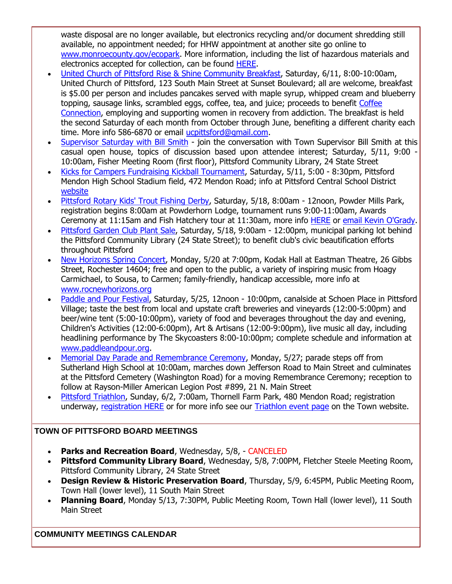waste disposal are no longer available, but electronics recycling and/or document shredding still available, no appointment needed; for HHW appointment at another site go online to [www.monroecounty.gov/ecopark.](http://r20.rs6.net/tn.jsp?f=001M8CJH8sBnMWgz4aopVEaV4YOjJsfj-zXDXQscDa3eZDHI2XsaZJ5CoPwkT071LpQ4lvzE-PEW7e_OhdiGD4atCm_kgR342VdLHx0mxii8Ba4whJestAFAN5LFkOeD4id5hOz0byHpcoDAnBaf0Isw2e5YQ6I8aWzHB0FSmVzkj6vjm8wtecGOsOWY0YrkvkMrgM9REeugAXi9ydPr-WmYtqljB_swOtqugtgLzKHue7IAnU7QD03W0EMM3KMPT-xm5DtuWo2oTpxUXgeHzbv7KaRUdSUsrdHy5WLAeS3F2E=&c=7LLbr8LOb_cBoZg3hp41pEzYmtWBuhuhkEdAsRC7YrPBmf1koEN9IA==&ch=UW3ysYm4R7SnQVuhGww5iKkpfJ6D62tYpi6hzqrb8VRk6IE4wKTUiA==) More information, including the list of hazardous materials and electronics accepted for collection, can be found [HERE.](http://r20.rs6.net/tn.jsp?f=001M8CJH8sBnMWgz4aopVEaV4YOjJsfj-zXDXQscDa3eZDHI2XsaZJ5Cn10itVqJcYH5ucb03tEKy0gs5nOwZwoPWxQhgnczkG-i9P-GZUFDeWrXo4600Bn0_3o1xpfcaqFF57XohpkScqSRzHkrviVkz-ttoHZEBploa-WEJi8jNPNhnFSiJe9yg5uEmAYkVT1e9NHO4p9q3flsylvnqzDHQJDubPboyDuTB58CDOoFBqF61XCnU46s6RWZPIF8Mr1ko-4taiqJAl9xGTvCL8r43pFe9_Q6gcRrUEWAoqasbYxHlCMu8Y4TBxpiY0W8UlAoLGwPAf7Na1jzX5i_V3fSSygWnlIdKxGl7ti1LOgLGvZS8HrSEfYQg==&c=7LLbr8LOb_cBoZg3hp41pEzYmtWBuhuhkEdAsRC7YrPBmf1koEN9IA==&ch=UW3ysYm4R7SnQVuhGww5iKkpfJ6D62tYpi6hzqrb8VRk6IE4wKTUiA==)

- [United Church of Pittsford Rise & Shine Community Breakfast,](http://r20.rs6.net/tn.jsp?f=001M8CJH8sBnMWgz4aopVEaV4YOjJsfj-zXDXQscDa3eZDHI2XsaZJ5CnN7sMbrt2w2J-WsQPJDfgD0WwDIkBj0EvNscHO0WJjcabu95tapcVUSEbxknTCKH7caUTM6OHUrofBJIXj44HxHn6qNqrX5gjCHIWS-5LLk0Y4GQULFZjmPaTPcFKDo01wuUrtVKHVSOd_X8cHcqV4g4X9C3-w2V6zPQHTrWPEAS8A9tClY9tu6OD6PCQ9S1bRGQEk7Y1ZN9YmJlKsy4WFfSWE6SjzOKPHTt5AiBAonvIJkTXi-b-E=&c=7LLbr8LOb_cBoZg3hp41pEzYmtWBuhuhkEdAsRC7YrPBmf1koEN9IA==&ch=UW3ysYm4R7SnQVuhGww5iKkpfJ6D62tYpi6hzqrb8VRk6IE4wKTUiA==) Saturday, 6/11, 8:00-10:00am, United Church of Pittsford, 123 South Main Street at Sunset Boulevard; all are welcome, breakfast is \$5.00 per person and includes pancakes served with maple syrup, whipped cream and blueberry topping, sausage links, scrambled eggs, coffee, tea, and juice; proceeds to benefit [Coffee](http://r20.rs6.net/tn.jsp?f=001M8CJH8sBnMWgz4aopVEaV4YOjJsfj-zXDXQscDa3eZDHI2XsaZJ5CjtivUqdf4eI9suXl4-C8r4TSxp4gOEZ-4nm3Hpwc77tI-aQ2muR8WBg9Q2D4BeG2xzpPyWusw_05KvNLuvVqlvs1QugHMtGLazUROHh3OUcnYWYdu0yufzZjcpEgXxtfSdxrpQkrP00CJyJ5kp2QDtzQeWbQySMWk6SPVHFloG3DJrr5et2BPyWUHUIHITuDluvcpn1hYTycciRKYdymDBwXPoZbj-EHVYqYDKR3s6xLfwu_TzZgFlQhcX4JpL7Qg==&c=7LLbr8LOb_cBoZg3hp41pEzYmtWBuhuhkEdAsRC7YrPBmf1koEN9IA==&ch=UW3ysYm4R7SnQVuhGww5iKkpfJ6D62tYpi6hzqrb8VRk6IE4wKTUiA==)  [Connection,](http://r20.rs6.net/tn.jsp?f=001M8CJH8sBnMWgz4aopVEaV4YOjJsfj-zXDXQscDa3eZDHI2XsaZJ5CjtivUqdf4eI9suXl4-C8r4TSxp4gOEZ-4nm3Hpwc77tI-aQ2muR8WBg9Q2D4BeG2xzpPyWusw_05KvNLuvVqlvs1QugHMtGLazUROHh3OUcnYWYdu0yufzZjcpEgXxtfSdxrpQkrP00CJyJ5kp2QDtzQeWbQySMWk6SPVHFloG3DJrr5et2BPyWUHUIHITuDluvcpn1hYTycciRKYdymDBwXPoZbj-EHVYqYDKR3s6xLfwu_TzZgFlQhcX4JpL7Qg==&c=7LLbr8LOb_cBoZg3hp41pEzYmtWBuhuhkEdAsRC7YrPBmf1koEN9IA==&ch=UW3ysYm4R7SnQVuhGww5iKkpfJ6D62tYpi6hzqrb8VRk6IE4wKTUiA==) employing and supporting women in recovery from addiction. The breakfast is held the second Saturday of each month from October through June, benefiting a different charity each time. More info 586-6870 or email [ucpittsford@gmail.com.](mailto:ucpittsford@gmail.com?subject=Rise%20and%20Shine%20Pancake%20Breakfast)
- [Supervisor Saturday with Bill Smith](http://r20.rs6.net/tn.jsp?f=001M8CJH8sBnMWgz4aopVEaV4YOjJsfj-zXDXQscDa3eZDHI2XsaZJ5CtMKIrPBWKGUF_Ue00cz9kEb30Gv1EILauY8bcDw-crGtavqCk2SdaOfim5LMRIiDJxe0-eRPj9mQCAtAOML-P3z0G7FWjb04hgmeJyQlG03-fz3Qih2CMpn3lGccE6XzAsPSbUna_k5B6Aqm4wS2vy-h5lMPmYV6CmwK1f9I8zqryyivL2XRzh2do6Pffv1uRCkYFd7nFPmS9r3agZQWMw_lUjR2GwZ0CSWgEgZ24Z8Qjvtafozaf7Nz_ZNwd3VVlSOZEo98Pm-6d4Bgub6I5v1f8d6pg0PApmdChG2OPPppzxFn_6DAJw=&c=7LLbr8LOb_cBoZg3hp41pEzYmtWBuhuhkEdAsRC7YrPBmf1koEN9IA==&ch=UW3ysYm4R7SnQVuhGww5iKkpfJ6D62tYpi6hzqrb8VRk6IE4wKTUiA==) join the conversation with Town Supervisor Bill Smith at this casual open house, topics of discussion based upon attendee interest; Saturday, 5/11, 9:00 - 10:00am, Fisher Meeting Room (first floor), Pittsford Community Library, 24 State Street
- [Kicks for Campers Fundraising Kickball Tournament,](http://r20.rs6.net/tn.jsp?f=001M8CJH8sBnMWgz4aopVEaV4YOjJsfj-zXDXQscDa3eZDHI2XsaZJ5ClU38bGQMbG8SM4LXbzXvBWCoYyEiwrjwkNBoilPr9D0lEQd-5FiuMiciQpDitn0hwOhzZwsG6Q9Vo5Da1gSJVwuHm3lT5yuP4GFm8w76hC139wDBR-lfcVvRdBbtvq1RPclfuupvl_JVfYJxGuD81zUVDdGJ4PDq33YKORVwks4fks8QE4pNci8L_76IJcbjMDIW-wECzfkXeQnIANB_vjoZjMBAy5BTGUxNPQwcN7gjmQWFlxgGZd-8bi2qrPUtwRHkpQrs2ANRD-oWTUS77ogDspueL9HG3CClbHCqKvEVguAvFgnsicDWGTZx6o7A1BwB0PHVuUDUPj_vzYduP6sboT3dVJCiWi-KgdGt-nxlFYZmmUGYTvNlVlUDPLzCCJooCROOMOuYizM1OS-iKTvx2NGsDgHeEV3BBYqmNs6wWu67dbcOziipraX511n5pPLyMMRKbrRTCXPEYq3DBhfDoX615GFKg==&c=7LLbr8LOb_cBoZg3hp41pEzYmtWBuhuhkEdAsRC7YrPBmf1koEN9IA==&ch=UW3ysYm4R7SnQVuhGww5iKkpfJ6D62tYpi6hzqrb8VRk6IE4wKTUiA==) Saturday, 5/11, 5:00 8:30pm, Pittsford Mendon High School Stadium field, 472 Mendon Road; info at Pittsford Central School District [website](http://r20.rs6.net/tn.jsp?f=001M8CJH8sBnMWgz4aopVEaV4YOjJsfj-zXDXQscDa3eZDHI2XsaZJ5ClU38bGQMbG8XnFHTDbo_bdztsyNI2rCAV2FJDUw9RchcHf-8Amt65VYukl4FrVNcWgnHH61OKqQa-29qWQ-06ikqPJFnlJbUd2oMsm4qKsmhy82OBkK8j5ZtnTQ88prCgdJ70FNIDYP-chG2lZ7WwJ_62PzvW-YeJVvE2zN9Zd6v-YB5WIW9GMMlJArF3LuNinvizLSsgqT-PE6iZqpsYPBFBjBUGL_NVf3Az_ozNTNQH5Lb_yorsctD1qSvIYUYPO6uNsh1Z7f&c=7LLbr8LOb_cBoZg3hp41pEzYmtWBuhuhkEdAsRC7YrPBmf1koEN9IA==&ch=UW3ysYm4R7SnQVuhGww5iKkpfJ6D62tYpi6hzqrb8VRk6IE4wKTUiA==)
- [Pittsford Rotary Kids' Trout Fishing Derby,](http://r20.rs6.net/tn.jsp?f=001M8CJH8sBnMWgz4aopVEaV4YOjJsfj-zXDXQscDa3eZDHI2XsaZJ5CosEkshZRpm6PiOJNWSaKitTRFAOkTV1bk9cXBKB1hELJqBrgnJnB6vuXvW0neEiCnv_S9-Ngf3H9J0-DaGLDlzu5k8qF4mVoA5Tp3y12ah1PG8Go-_mUD4LtWzPvyIuK-7CkndX3eQ4CKGWaEEH9b67ReTwfWMxBj9jHxQ62I36EaB2HHpWExP6Y22asenfpoFKuRMDCJN9_FIZ6WMxgIpmAPz1YfJN7fRB_hPG1Hpj3-f8Eszp_fllqAsxRF-MDQ==&c=7LLbr8LOb_cBoZg3hp41pEzYmtWBuhuhkEdAsRC7YrPBmf1koEN9IA==&ch=UW3ysYm4R7SnQVuhGww5iKkpfJ6D62tYpi6hzqrb8VRk6IE4wKTUiA==) Saturday, 5/18, 8:00am 12noon, Powder Mills Park, registration begins 8:00am at Powderhorn Lodge, tournament runs 9:00-11:00am, Awards Ceremony at 11:15am and Fish Hatchery tour at 11:30am, more info [HERE](http://r20.rs6.net/tn.jsp?f=001M8CJH8sBnMWgz4aopVEaV4YOjJsfj-zXDXQscDa3eZDHI2XsaZJ5CosEkshZRpm6PiOJNWSaKitTRFAOkTV1bk9cXBKB1hELJqBrgnJnB6vuXvW0neEiCnv_S9-Ngf3H9J0-DaGLDlzu5k8qF4mVoA5Tp3y12ah1PG8Go-_mUD4LtWzPvyIuK-7CkndX3eQ4CKGWaEEH9b67ReTwfWMxBj9jHxQ62I36EaB2HHpWExP6Y22asenfpoFKuRMDCJN9_FIZ6WMxgIpmAPz1YfJN7fRB_hPG1Hpj3-f8Eszp_fllqAsxRF-MDQ==&c=7LLbr8LOb_cBoZg3hp41pEzYmtWBuhuhkEdAsRC7YrPBmf1koEN9IA==&ch=UW3ysYm4R7SnQVuhGww5iKkpfJ6D62tYpi6hzqrb8VRk6IE4wKTUiA==) or [email Kevin O'Grady.](mailto:kevin@ogradyassociates.com?subject=Pittsford%20Rotary%20Kids)
- [Pittsford Garden Club Plant Sale,](http://pittsfordgardenclub.wordpress.com/?utm_source=eNews+05-08-19&utm_campaign=eNews+05-08-19&utm_medium=email) Saturday, 5/18, 9:00am 12:00pm, municipal parking lot behind the Pittsford Community Library (24 State Street); to benefit club's civic beautification efforts throughout Pittsford
- [New Horizons Spring Concert,](http://r20.rs6.net/tn.jsp?f=001M8CJH8sBnMWgz4aopVEaV4YOjJsfj-zXDXQscDa3eZDHI2XsaZJ5Co531Y6rTvjz9pr4uPqznh9rywpOaKOM6fKyhWPUTlCjl--ldcRSezspBhtNea9LsGkNkB_MyJTCAm_7AqVIdwTsA8AyF29MDHcGX3LUKnw_-5km9K8L8qgBplA5Ono4RXsGUT0a42xF0NpWL8MTQnMD3OR3BpusbAsAfo1YtjtoB12_kb4II4RQNOOiZCUfv_GCHFMtyK7suv9VmENYjQimVwvkKM3wDlfXfKxqMFh9jkeKKc1_wJA=&c=7LLbr8LOb_cBoZg3hp41pEzYmtWBuhuhkEdAsRC7YrPBmf1koEN9IA==&ch=UW3ysYm4R7SnQVuhGww5iKkpfJ6D62tYpi6hzqrb8VRk6IE4wKTUiA==) Monday, 5/20 at 7:00pm, Kodak Hall at Eastman Theatre, 26 Gibbs Street, Rochester 14604; free and open to the public, a variety of inspiring music from Hoagy Carmichael, to Sousa, to Carmen; family-friendly, handicap accessible, more info at [www.rocnewhorizons.org](http://r20.rs6.net/tn.jsp?f=001M8CJH8sBnMWgz4aopVEaV4YOjJsfj-zXDXQscDa3eZDHI2XsaZJ5Co531Y6rTvjz9pr4uPqznh9rywpOaKOM6fKyhWPUTlCjl--ldcRSezspBhtNea9LsGkNkB_MyJTCAm_7AqVIdwTsA8AyF29MDHcGX3LUKnw_-5km9K8L8qgBplA5Ono4RXsGUT0a42xF0NpWL8MTQnMD3OR3BpusbAsAfo1YtjtoB12_kb4II4RQNOOiZCUfv_GCHFMtyK7suv9VmENYjQimVwvkKM3wDlfXfKxqMFh9jkeKKc1_wJA=&c=7LLbr8LOb_cBoZg3hp41pEzYmtWBuhuhkEdAsRC7YrPBmf1koEN9IA==&ch=UW3ysYm4R7SnQVuhGww5iKkpfJ6D62tYpi6hzqrb8VRk6IE4wKTUiA==)
- [Paddle and Pour Festival,](http://r20.rs6.net/tn.jsp?f=001M8CJH8sBnMWgz4aopVEaV4YOjJsfj-zXDXQscDa3eZDHI2XsaZJ5CjJi5PvRsn8mERrR2NRwCMiIOKWhZWNc1OCDsltWZH2kjqo4mI8cSiU-fS6LIQbkoFjb4gAbrB2WgHPwJctPij50Zg5ikFGFlWAWOpIYmGIMFxVcNkpB02ECVZKY9nZuFotSZkPtzhrT64RNTcQkwTvFETkjmCnbwqUvaUZmKcgz0wKoH_dLyiY2i9ETm9MzbfOzEiQ9hBV_VmWayc-fye_SfkZ1CK-2AaasEsg82lfkEwpAhNQw_YE=&c=7LLbr8LOb_cBoZg3hp41pEzYmtWBuhuhkEdAsRC7YrPBmf1koEN9IA==&ch=UW3ysYm4R7SnQVuhGww5iKkpfJ6D62tYpi6hzqrb8VRk6IE4wKTUiA==) Saturday, 5/25, 12noon 10:00pm, canalside at Schoen Place in Pittsford Village; taste the best from local and upstate craft breweries and vineyards (12:00-5:00pm) and beer/wine tent (5:00-10:00pm), variety of food and beverages throughout the day and evening, Children's Activities (12:00-6:00pm), Art & Artisans (12:00-9:00pm), live music all day, including headlining performance by The Skycoasters 8:00-10:00pm; complete schedule and information at [www.paddleandpour.org.](http://www.paddleandpour.org/)
- [Memorial Day Parade and Remembrance Ceremony,](http://r20.rs6.net/tn.jsp?f=001M8CJH8sBnMWgz4aopVEaV4YOjJsfj-zXDXQscDa3eZDHI2XsaZJ5CiY-lYKE3og24N5FxiU0r44qNkgTNJWq5O8CWrVHxSm15i1uEMJ5w3UdJpdM-WJ-7kVjox44UK6GggX_IQSaBaLOoBRCiyG33H3WIj0DJ0FrVQugf4l9uvGAIqNGg_3cCJtlgNFgi_hj1YiFmqzYCNqkMoGol2nrv48ol6aa0vaWja9L3k7kT65VPYZEg8GYpZYWM-mqFoODQz-KLx0r5zYDZgXLjEDSJ33QeU6SS29xehFOHb_AK4nt9grHc5q1zQ==&c=7LLbr8LOb_cBoZg3hp41pEzYmtWBuhuhkEdAsRC7YrPBmf1koEN9IA==&ch=UW3ysYm4R7SnQVuhGww5iKkpfJ6D62tYpi6hzqrb8VRk6IE4wKTUiA==) Monday, 5/27; parade steps off from Sutherland High School at 10:00am, marches down Jefferson Road to Main Street and culminates at the Pittsford Cemetery (Washington Road) for a moving Remembrance Ceremony; reception to follow at Rayson-Miller American Legion Post #899, 21 N. Main Street
- [Pittsford Triathlon,](http://r20.rs6.net/tn.jsp?f=001M8CJH8sBnMWgz4aopVEaV4YOjJsfj-zXDXQscDa3eZDHI2XsaZJ5Cn_yKsvcySxSzMdPJSs-9BLCo4ekVEn250sgk6eR_yAbM9HO0WV1BJ1U4jUHrIYu8e4VqIBzVcrt-Sy1CJsNtez6T4_Wkv71pi2dg8m6uS00wONKhC8WELQbbIdhz2bKIDi-IOXnYkGp3yKYnpTUMCnvEHYIHQUF8aYKvPgxpNhTskQ9odnoDSgVU61TTT6bV3I1vbOkLKmFnNJztDGcER6oTlqbVTcrD9Y34FEOGn5_bTvDZIgf40Q7bAW5jQ_h0w==&c=7LLbr8LOb_cBoZg3hp41pEzYmtWBuhuhkEdAsRC7YrPBmf1koEN9IA==&ch=UW3ysYm4R7SnQVuhGww5iKkpfJ6D62tYpi6hzqrb8VRk6IE4wKTUiA==) Sunday, 6/2, 7:00am, Thornell Farm Park, 480 Mendon Road; registration underway, [registration HERE](http://r20.rs6.net/tn.jsp?f=001M8CJH8sBnMWgz4aopVEaV4YOjJsfj-zXDXQscDa3eZDHI2XsaZJ5Cn_yKsvcySxSjdeePVLTPK49DyJ_2tvIV6f-NEXBG9qF69bFFq0VshG5LKZRlrlQ-4Vx1rQUTMdtY_iJx6GCMooRov0EFHu0LPuwj7BfcwxE1zm7kh8XDvtD3plfjzD53PjjyuFUosV7fH75n8tDUTjGuk1rXKBEo7zEXM4ueP0-4ae4RJQksK4FzRmmMmJ5Latb9y8b6Dap_2RhxF8fNJsBxZ-gA9RsgAhJN8_RQrzxS7koEKN8dKTWiAdUrdIsQYI7cCbtjbGbYbS6wBY0AycHbKSLxeTdwg==&c=7LLbr8LOb_cBoZg3hp41pEzYmtWBuhuhkEdAsRC7YrPBmf1koEN9IA==&ch=UW3ysYm4R7SnQVuhGww5iKkpfJ6D62tYpi6hzqrb8VRk6IE4wKTUiA==) or for more info see our [Triathlon event page](http://r20.rs6.net/tn.jsp?f=001M8CJH8sBnMWgz4aopVEaV4YOjJsfj-zXDXQscDa3eZDHI2XsaZJ5Cn_yKsvcySxSzMdPJSs-9BLCo4ekVEn250sgk6eR_yAbM9HO0WV1BJ1U4jUHrIYu8e4VqIBzVcrt-Sy1CJsNtez6T4_Wkv71pi2dg8m6uS00wONKhC8WELQbbIdhz2bKIDi-IOXnYkGp3yKYnpTUMCnvEHYIHQUF8aYKvPgxpNhTskQ9odnoDSgVU61TTT6bV3I1vbOkLKmFnNJztDGcER6oTlqbVTcrD9Y34FEOGn5_bTvDZIgf40Q7bAW5jQ_h0w==&c=7LLbr8LOb_cBoZg3hp41pEzYmtWBuhuhkEdAsRC7YrPBmf1koEN9IA==&ch=UW3ysYm4R7SnQVuhGww5iKkpfJ6D62tYpi6hzqrb8VRk6IE4wKTUiA==) on the Town website.

#### **TOWN OF PITTSFORD BOARD MEETINGS**

- **Parks and Recreation Board**, Wednesday, 5/8, CANCELED
- **Pittsford Community Library Board**, Wednesday, 5/8, 7:00PM, Fletcher Steele Meeting Room, Pittsford Community Library, 24 State Street
- **Design Review & Historic Preservation Board**, Thursday, 5/9, 6:45PM, Public Meeting Room, Town Hall (lower level), 11 South Main Street
- **Planning Board,** Monday 5/13, 7:30PM, Public Meeting Room, Town Hall (lower level), 11 South Main Street

#### **COMMUNITY MEETINGS CALENDAR**